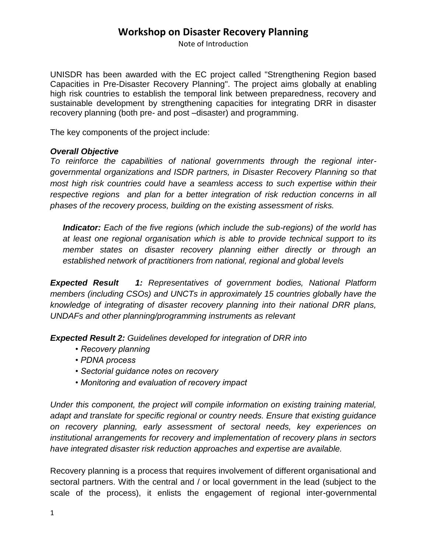## **Workshop on Disaster Recovery Planning**

Note of Introduction

UNISDR has been awarded with the EC project called "Strengthening Region based Capacities in Pre-Disaster Recovery Planning". The project aims globally at enabling high risk countries to establish the temporal link between preparedness, recovery and sustainable development by strengthening capacities for integrating DRR in disaster recovery planning (both pre- and post –disaster) and programming.

The key components of the project include:

#### *Overall Objective*

*To reinforce the capabilities of national governments through the regional intergovernmental organizations and ISDR partners, in Disaster Recovery Planning so that most high risk countries could have a seamless access to such expertise within their respective regions and plan for a better integration of risk reduction concerns in all phases of the recovery process, building on the existing assessment of risks.*

*Indicator: Each of the five regions (which include the sub-regions) of the world has at least one regional organisation which is able to provide technical support to its member states on disaster recovery planning either directly or through an established network of practitioners from national, regional and global levels*

*Expected Result 1: Representatives of government bodies, National Platform members (including CSOs) and UNCTs in approximately 15 countries globally have the knowledge of integrating of disaster recovery planning into their national DRR plans, UNDAFs and other planning/programming instruments as relevant*

*Expected Result 2: Guidelines developed for integration of DRR into* 

- *Recovery planning*
- *PDNA process*
- *Sectorial guidance notes on recovery*
- *Monitoring and evaluation of recovery impact*

*Under this component, the project will compile information on existing training material, adapt and translate for specific regional or country needs. Ensure that existing guidance on recovery planning, early assessment of sectoral needs, key experiences on institutional arrangements for recovery and implementation of recovery plans in sectors have integrated disaster risk reduction approaches and expertise are available.*

Recovery planning is a process that requires involvement of different organisational and sectoral partners. With the central and / or local government in the lead (subject to the scale of the process), it enlists the engagement of regional inter-governmental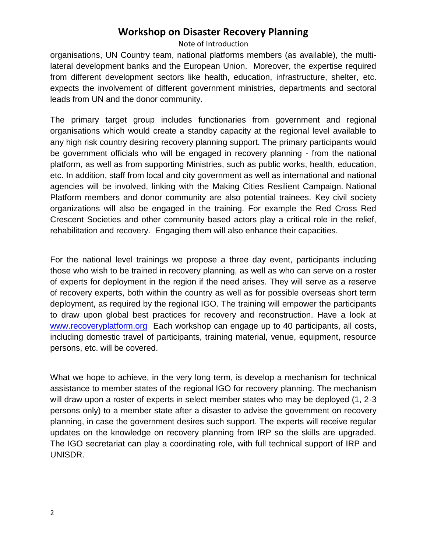## **Workshop on Disaster Recovery Planning**

#### Note of Introduction

organisations, UN Country team, national platforms members (as available), the multilateral development banks and the European Union. Moreover, the expertise required from different development sectors like health, education, infrastructure, shelter, etc. expects the involvement of different government ministries, departments and sectoral leads from UN and the donor community.

The primary target group includes functionaries from government and regional organisations which would create a standby capacity at the regional level available to any high risk country desiring recovery planning support. The primary participants would be government officials who will be engaged in recovery planning - from the national platform, as well as from supporting Ministries, such as public works, health, education, etc. In addition, staff from local and city government as well as international and national agencies will be involved, linking with the Making Cities Resilient Campaign. National Platform members and donor community are also potential trainees. Key civil society organizations will also be engaged in the training. For example the Red Cross Red Crescent Societies and other community based actors play a critical role in the relief, rehabilitation and recovery. Engaging them will also enhance their capacities.

For the national level trainings we propose a three day event, participants including those who wish to be trained in recovery planning, as well as who can serve on a roster of experts for deployment in the region if the need arises. They will serve as a reserve of recovery experts, both within the country as well as for possible overseas short term deployment, as required by the regional IGO. The training will empower the participants to draw upon global best practices for recovery and reconstruction. Have a look a[t](cid:part1.07080505.08070403@recoveryplatform.org) [www.recoveryplatform.org](cid:part1.07080505.08070403@recoveryplatform.org) Each workshop can engage up to 40 participants, all costs, including domestic travel of participants, training material, venue, equipment, resource persons, etc. will be covered.

What we hope to achieve, in the very long term, is develop a mechanism for technical assistance to member states of the regional IGO for recovery planning. The mechanism will draw upon a roster of experts in select member states who may be deployed (1, 2-3) persons only) to a member state after a disaster to advise the government on recovery planning, in case the government desires such support. The experts will receive regular updates on the knowledge on recovery planning from IRP so the skills are upgraded. The IGO secretariat can play a coordinating role, with full technical support of IRP and UNISDR.